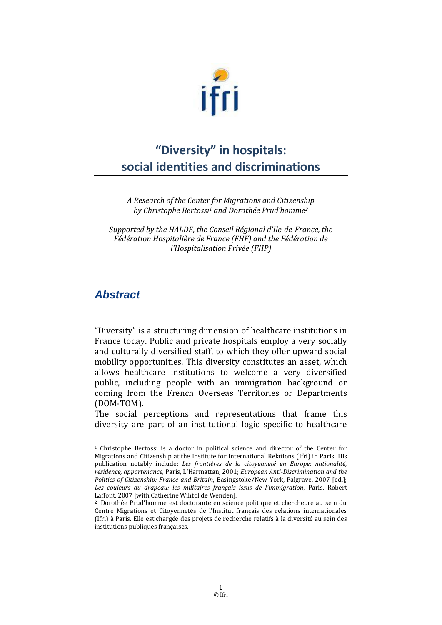

# **"Diversity" in hospitals: social identities and discriminations**

*A Research of the Center for Migrations and Citizenship by Christophe Bertossi <sup>1</sup> and Dorothée Prud'homme<sup>2</sup>*

*Supported by the HALDE, the Conseil Régional d'Ile-de-France, the Fédération Hospitalière de France (FHF) and the Fédération de l'Hospitalisation Privée (FHP)*

## *Abstract*

<u>.</u>

"Diversity" is a structuring dimension of healthcare institutions in France today. Public and private hospitals employ a very socially and culturally diversified staff, to which they offer upward social mobility opportunities. This diversity constitutes an asset, which allows healthcare institutions to welcome a very diversified public, including people with an immigration background or coming from the French Overseas Territories or Departments (DOM-TOM).

The social perceptions and representations that frame this diversity are part of an institutional logic specific to healthcare

<sup>1</sup> Christophe Bertossi is a doctor in political science and director of the Center for Migrations and Citizenship at the Institute for International Relations (Ifri) in Paris. His publication notably include: *Les frontières de la citoyenneté en Europe: nationalité, résidence, appartenance,* Paris, L'Harmattan, 2001; *European Anti-Discrimination and the Politics of Citizenship: France and Britain*, Basingstoke/New York, Palgrave, 2007 [ed.]; *Les couleurs du drapeau: les militaires français issus de l'immigration*, Paris, Robert Laffont, 2007 [with Catherine Wihtol de Wenden].

<sup>2</sup> Dorothée Prud'homme est doctorante en science politique et chercheure au sein du Centre Migrations et Citoyennetés de l'Institut français des relations internationales (Ifri) à Paris. Elle est chargée des projets de recherche relatifs à la diversité au sein des institutions publiques françaises.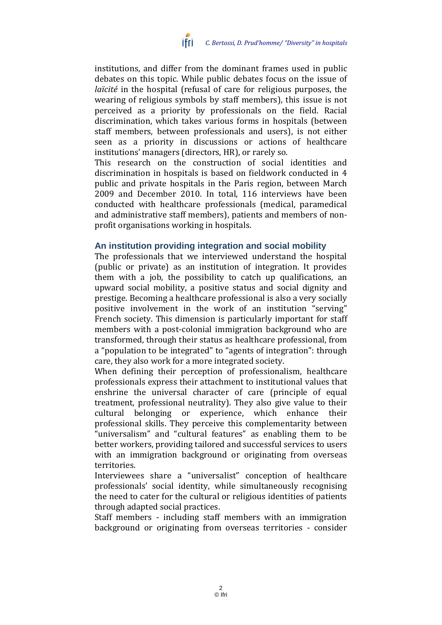

institutions, and differ from the dominant frames used in public debates on this topic. While public debates focus on the issue of *laïcité* in the hospital (refusal of care for religious purposes, the wearing of religious symbols by staff members), this issue is not perceived as a priority by professionals on the field. Racial discrimination, which takes various forms in hospitals (between staff members, between professionals and users), is not either seen as a priority in discussions or actions of healthcare institutions' managers (directors, HR), or rarely so.

This research on the construction of social identities and discrimination in hospitals is based on fieldwork conducted in 4 public and private hospitals in the Paris region, between March 2009 and December 2010. In total, 116 interviews have been conducted with healthcare professionals (medical, paramedical and administrative staff members), patients and members of nonprofit organisations working in hospitals.

#### **An institution providing integration and social mobility**

The professionals that we interviewed understand the hospital (public or private) as an institution of integration. It provides them with a job, the possibility to catch up qualifications, an upward social mobility, a positive status and social dignity and prestige. Becoming a healthcare professional is also a very socially positive involvement in the work of an institution "serving" French society. This dimension is particularly important for staff members with a post-colonial immigration background who are transformed, through their status as healthcare professional, from a "population to be integrated" to "agents of integration": through care, they also work for a more integrated society.

When defining their perception of professionalism, healthcare professionals express their attachment to institutional values that enshrine the universal character of care (principle of equal treatment, professional neutrality). They also give value to their cultural belonging or experience, which enhance their professional skills. They perceive this complementarity between "universalism" and "cultural features" as enabling them to be better workers, providing tailored and successful services to users with an immigration background or originating from overseas territories.

Interviewees share a "universalist" conception of healthcare professionals' social identity, while simultaneously recognising the need to cater for the cultural or religious identities of patients through adapted social practices.

Staff members - including staff members with an immigration background or originating from overseas territories - consider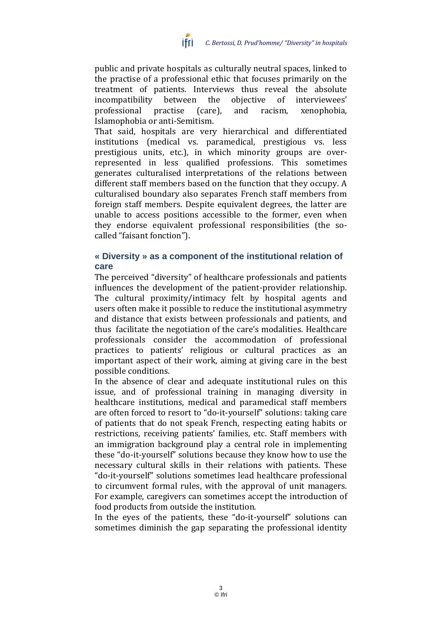

public and private hospitals as culturally neutral spaces, linked to the practise of a professional ethic that focuses primarily on the treatment of patients. Interviews thus reveal the absolute incompatibility between the objective of interviewees' professional practise (care), and racism, xenophobia, Islamophobia or anti-Semitism.

That said, hospitals are very hierarchical and differentiated institutions (medical vs. paramedical, prestigious vs. less prestigious units, etc.), in which minority groups are overrepresented in less qualified professions. This sometimes generates culturalised interpretations of the relations between different staff members based on the function that they occupy. A culturalised boundary also separates French staff members from foreign staff members. Despite equivalent degrees, the latter are unable to access positions accessible to the former, even when they endorse equivalent professional responsibilities (the socalled "faisant fonction").

#### **« Diversity » as a component of the institutional relation of care**

The perceived "diversity" of healthcare professionals and patients influences the development of the patient-provider relationship. The cultural proximity/intimacy felt by hospital agents and users often make it possible to reduce the institutional asymmetry and distance that exists between professionals and patients, and thus facilitate the negotiation of the care's modalities. Healthcare professionals consider the accommodation of professional practices to patients' religious or cultural practices as an important aspect of their work, aiming at giving care in the best possible conditions.

In the absence of clear and adequate institutional rules on this issue, and of professional training in managing diversity in healthcare institutions, medical and paramedical staff members are often forced to resort to "do-it-yourself" solutions: taking care of patients that do not speak French, respecting eating habits or restrictions, receiving patients' families, etc. Staff members with an immigration background play a central role in implementing these "do-it-yourself" solutions because they know how to use the necessary cultural skills in their relations with patients. These "do-it-yourself" solutions sometimes lead healthcare professional to circumvent formal rules, with the approval of unit managers. For example, caregivers can sometimes accept the introduction of food products from outside the institution.

In the eyes of the patients, these "do-it-yourself" solutions can sometimes diminish the gap separating the professional identity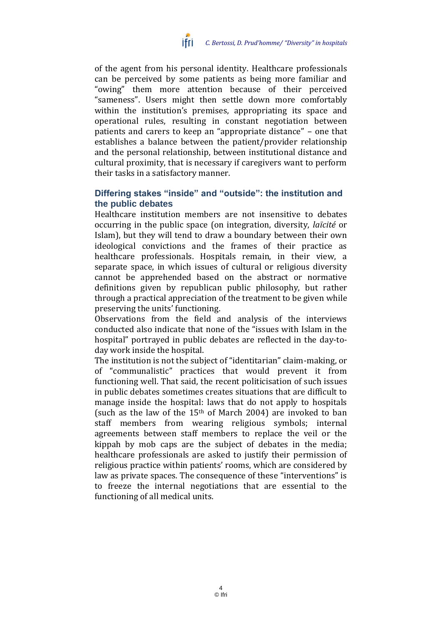

of the agent from his personal identity. Healthcare professionals can be perceived by some patients as being more familiar and "owing" them more attention because of their perceived "sameness". Users might then settle down more comfortably within the institution's premises, appropriating its space and operational rules, resulting in constant negotiation between patients and carers to keep an "appropriate distance" – one that establishes a balance between the patient/provider relationship and the personal relationship, between institutional distance and cultural proximity, that is necessary if caregivers want to perform their tasks in a satisfactory manner.

### **Differing stakes "inside" and "outside": the institution and the public debates**

Healthcare institution members are not insensitive to debates occurring in the public space (on integration, diversity, *laïcité* or Islam), but they will tend to draw a boundary between their own ideological convictions and the frames of their practice as healthcare professionals. Hospitals remain, in their view, a separate space, in which issues of cultural or religious diversity cannot be apprehended based on the abstract or normative definitions given by republican public philosophy, but rather through a practical appreciation of the treatment to be given while preserving the units' functioning.

Observations from the field and analysis of the interviews conducted also indicate that none of the "issues with Islam in the hospital" portrayed in public debates are reflected in the day-today work inside the hospital.

The institution is not the subject of "identitarian" claim-making, or of "communalistic" practices that would prevent it from functioning well. That said, the recent politicisation of such issues in public debates sometimes creates situations that are difficult to manage inside the hospital: laws that do not apply to hospitals (such as the law of the  $15<sup>th</sup>$  of March 2004) are invoked to ban staff members from wearing religious symbols; internal agreements between staff members to replace the veil or the kippah by mob caps are the subject of debates in the media; healthcare professionals are asked to justify their permission of religious practice within patients' rooms, which are considered by law as private spaces. The consequence of these "interventions" is to freeze the internal negotiations that are essential to the functioning of all medical units.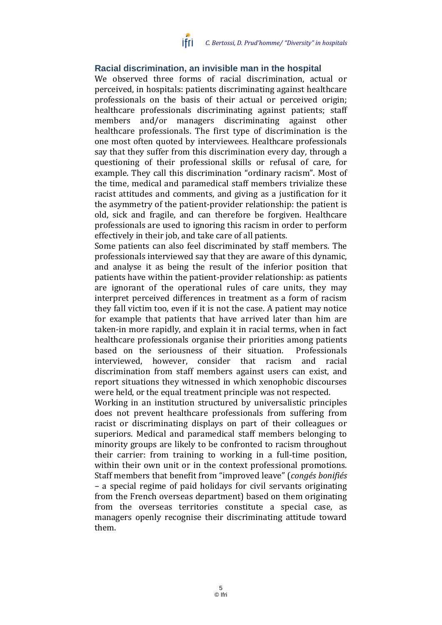

#### **Racial discrimination, an invisible man in the hospital**

We observed three forms of racial discrimination, actual or perceived, in hospitals: patients discriminating against healthcare professionals on the basis of their actual or perceived origin; healthcare professionals discriminating against patients; staff members and/or managers discriminating against other healthcare professionals. The first type of discrimination is the one most often quoted by interviewees. Healthcare professionals say that they suffer from this discrimination every day, through a questioning of their professional skills or refusal of care, for example. They call this discrimination "ordinary racism". Most of the time, medical and paramedical staff members trivialize these racist attitudes and comments, and giving as a justification for it the asymmetry of the patient-provider relationship: the patient is old, sick and fragile, and can therefore be forgiven. Healthcare professionals are used to ignoring this racism in order to perform effectively in their job, and take care of all patients.

Some patients can also feel discriminated by staff members. The professionals interviewed say that they are aware of this dynamic, and analyse it as being the result of the inferior position that patients have within the patient-provider relationship: as patients are ignorant of the operational rules of care units, they may interpret perceived differences in treatment as a form of racism they fall victim too, even if it is not the case. A patient may notice for example that patients that have arrived later than him are taken-in more rapidly, and explain it in racial terms, when in fact healthcare professionals organise their priorities among patients based on the seriousness of their situation. Professionals interviewed, however, consider that racism and racial discrimination from staff members against users can exist, and report situations they witnessed in which xenophobic discourses were held, or the equal treatment principle was not respected.

Working in an institution structured by universalistic principles does not prevent healthcare professionals from suffering from racist or discriminating displays on part of their colleagues or superiors. Medical and paramedical staff members belonging to minority groups are likely to be confronted to racism throughout their carrier: from training to working in a full-time position, within their own unit or in the context professional promotions. Staff members that benefit from "improved leave" (*congés bonifiés –* a special regime of paid holidays for civil servants originating from the French overseas department) based on them originating from the overseas territories constitute a special case, as managers openly recognise their discriminating attitude toward them.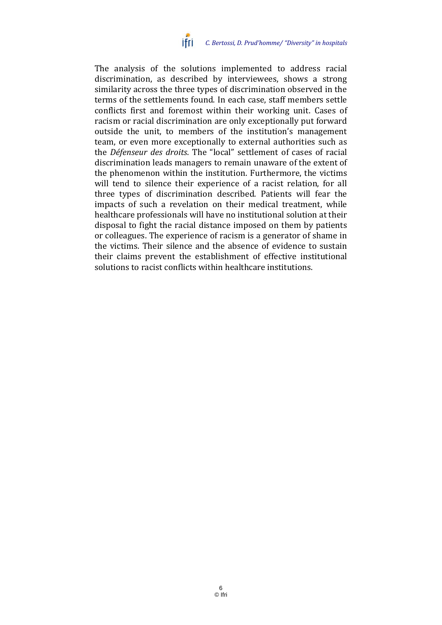

The analysis of the solutions implemented to address racial discrimination, as described by interviewees, shows a strong similarity across the three types of discrimination observed in the terms of the settlements found. In each case, staff members settle conflicts first and foremost within their working unit. Cases of racism or racial discrimination are only exceptionally put forward outside the unit, to members of the institution's management team, or even more exceptionally to external authorities such as the *Défenseur des droits*. The "local" settlement of cases of racial discrimination leads managers to remain unaware of the extent of the phenomenon within the institution. Furthermore, the victims will tend to silence their experience of a racist relation, for all three types of discrimination described. Patients will fear the impacts of such a revelation on their medical treatment, while healthcare professionals will have no institutional solution at their disposal to fight the racial distance imposed on them by patients or colleagues. The experience of racism is a generator of shame in the victims. Their silence and the absence of evidence to sustain their claims prevent the establishment of effective institutional solutions to racist conflicts within healthcare institutions.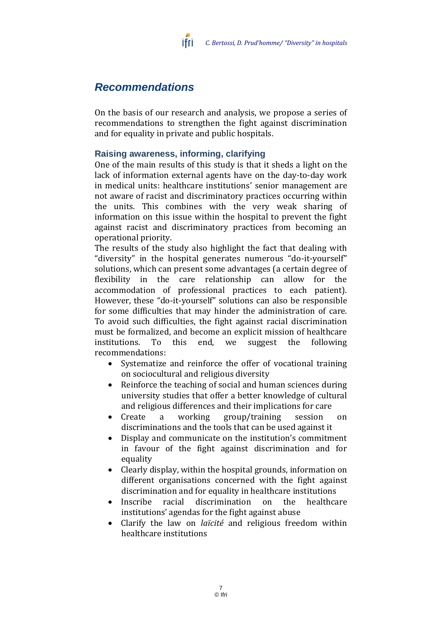# *Recommendations*

On the basis of our research and analysis, we propose a series of recommendations to strengthen the fight against discrimination and for equality in private and public hospitals.

### **Raising awareness, informing, clarifying**

ifri

One of the main results of this study is that it sheds a light on the lack of information external agents have on the day-to-day work in medical units: healthcare institutions' senior management are not aware of racist and discriminatory practices occurring within the units. This combines with the very weak sharing of information on this issue within the hospital to prevent the fight against racist and discriminatory practices from becoming an operational priority.

The results of the study also highlight the fact that dealing with "diversity" in the hospital generates numerous "do-it-yourself" solutions, which can present some advantages (a certain degree of flexibility in the care relationship can allow for the accommodation of professional practices to each patient). However, these "do-it-yourself" solutions can also be responsible for some difficulties that may hinder the administration of care. To avoid such difficulties, the fight against racial discrimination must be formalized, and become an explicit mission of healthcare institutions. To this end, we suggest the following recommendations:

- Systematize and reinforce the offer of vocational training on sociocultural and religious diversity
- Reinforce the teaching of social and human sciences during university studies that offer a better knowledge of cultural and religious differences and their implications for care
- Create a working group/training session on discriminations and the tools that can be used against it
- Display and communicate on the institution's commitment in favour of the fight against discrimination and for equality
- Clearly display, within the hospital grounds, information on different organisations concerned with the fight against discrimination and for equality in healthcare institutions
- Inscribe racial discrimination on the healthcare institutions' agendas for the fight against abuse
- Clarify the law on *laïcité* and religious freedom within healthcare institutions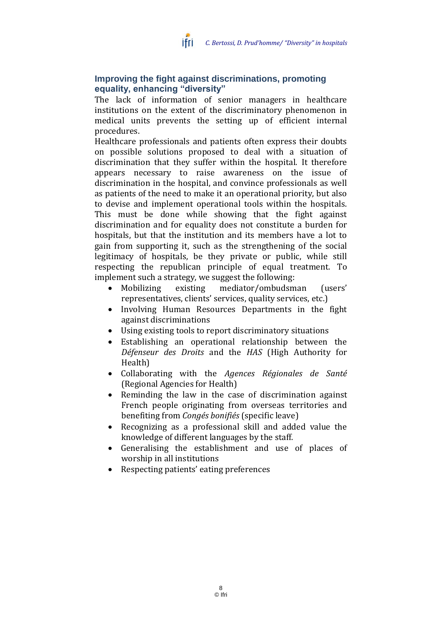

### **Improving the fight against discriminations, promoting equality, enhancing "diversity"**

The lack of information of senior managers in healthcare institutions on the extent of the discriminatory phenomenon in medical units prevents the setting up of efficient internal procedures.

Healthcare professionals and patients often express their doubts on possible solutions proposed to deal with a situation of discrimination that they suffer within the hospital. It therefore appears necessary to raise awareness on the issue of discrimination in the hospital, and convince professionals as well as patients of the need to make it an operational priority, but also to devise and implement operational tools within the hospitals. This must be done while showing that the fight against discrimination and for equality does not constitute a burden for hospitals, but that the institution and its members have a lot to gain from supporting it, such as the strengthening of the social legitimacy of hospitals, be they private or public, while still respecting the republican principle of equal treatment. To implement such a strategy, we suggest the following:

- Mobilizing existing mediator/ombudsman (users' representatives, clients' services, quality services, etc.)
- Involving Human Resources Departments in the fight against discriminations
- Using existing tools to report discriminatory situations
- Establishing an operational relationship between the *Défenseur des Droits* and the *HAS* (High Authority for Health)
- Collaborating with the *Agences Régionales de Santé* (Regional Agencies for Health)
- Reminding the law in the case of discrimination against French people originating from overseas territories and benefiting from *Congés bonifiés* (specific leave)
- Recognizing as a professional skill and added value the knowledge of different languages by the staff.
- Generalising the establishment and use of places of worship in all institutions
- Respecting patients' eating preferences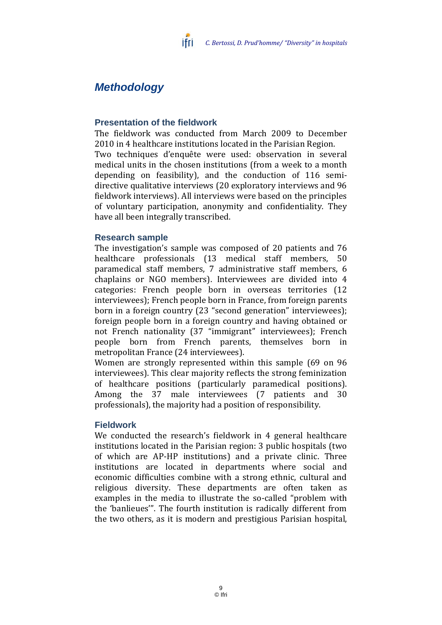# *Methodology*

### **Presentation of the fieldwork**

The fieldwork was conducted from March 2009 to December 2010 in 4 healthcare institutions located in the Parisian Region. Two techniques d'enquête were used: observation in several medical units in the chosen institutions (from a week to a month depending on feasibility), and the conduction of 116 semidirective qualitative interviews (20 exploratory interviews and 96 fieldwork interviews). All interviews were based on the principles of voluntary participation, anonymity and confidentiality. They have all been integrally transcribed.

#### **Research sample**

The investigation's sample was composed of 20 patients and 76 healthcare professionals (13 medical staff members, 50 paramedical staff members, 7 administrative staff members, 6 chaplains or NGO members). Interviewees are divided into 4 categories: French people born in overseas territories (12 interviewees); French people born in France, from foreign parents born in a foreign country (23 "second generation" interviewees); foreign people born in a foreign country and having obtained or not French nationality (37 "immigrant" interviewees); French people born from French parents, themselves born in metropolitan France (24 interviewees).

Women are strongly represented within this sample (69 on 96 interviewees). This clear majority reflects the strong feminization of healthcare positions (particularly paramedical positions). Among the 37 male interviewees (7 patients and 30 professionals), the majority had a position of responsibility.

#### **Fieldwork**

We conducted the research's fieldwork in 4 general healthcare institutions located in the Parisian region: 3 public hospitals (two of which are AP-HP institutions) and a private clinic. Three institutions are located in departments where social and economic difficulties combine with a strong ethnic, cultural and religious diversity. These departments are often taken as examples in the media to illustrate the so-called "problem with the 'banlieues'". The fourth institution is radically different from the two others, as it is modern and prestigious Parisian hospital,